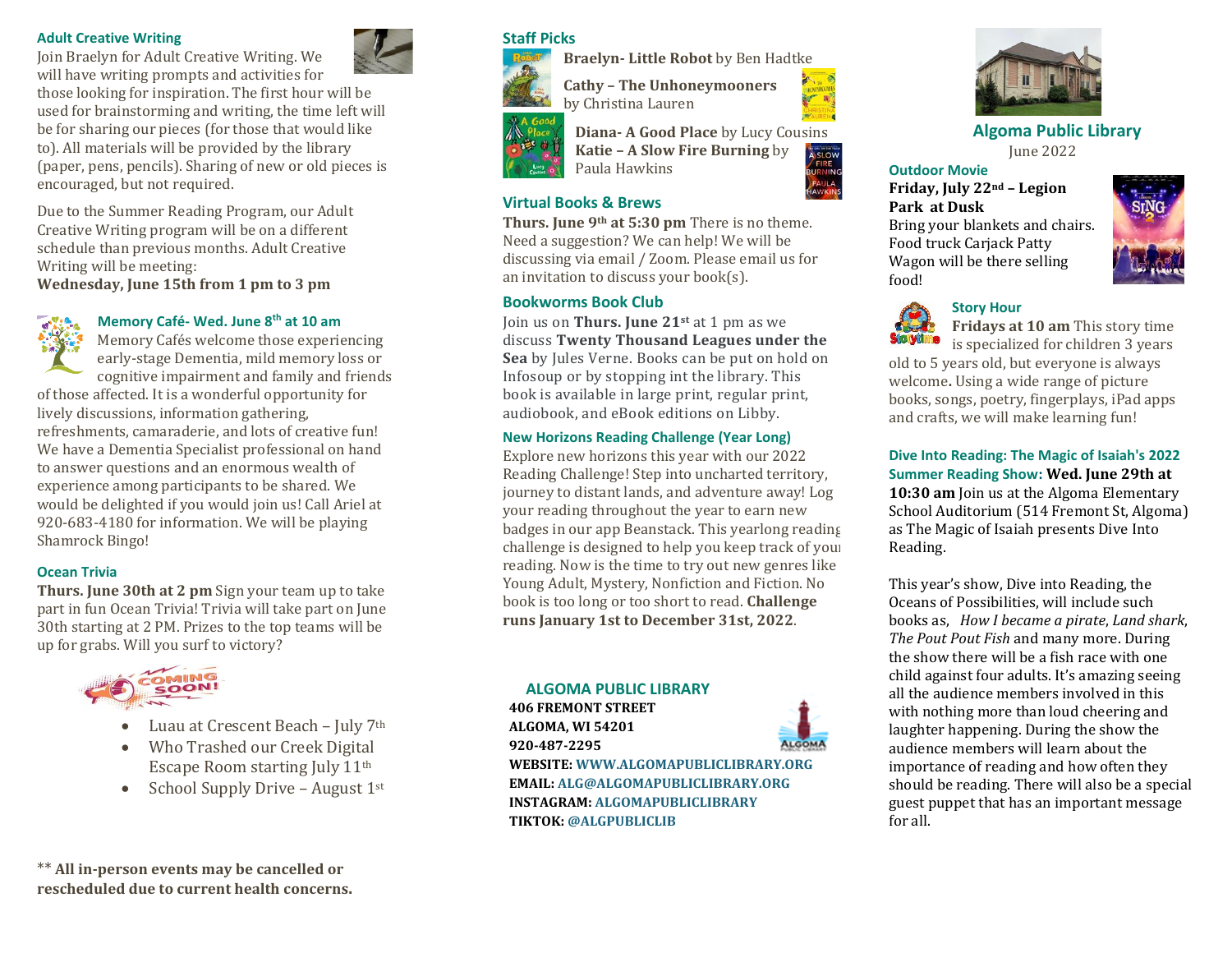#### **Adult Creative Writing**



Join Braelyn for Adult Creative Writing. We will have writing prompts and activities for those looking for inspiration. The first hour will be used for brainstorming and writing, the time left will be for sharing our pieces (for those that would like to). All materials will be provided by the library

(paper, pens, pencils). Sharing of new or old pieces is encouraged, but not required.

Due to the Summer Reading Program, our Adult Creative Writing program will be on a different schedule than previous months. Adult Creative Writing will be meeting:

**Wednesday, June 15th from 1 pm to 3 pm**

## **Memory Café- Wed. June 8th at 10 am**

Memory Cafés welcome those experiencing early-stage Dementia, mild memory loss or cognitive impairment and family and friends of those affected. It is a wonderful opportunity for lively discussions, information gathering, refreshments, camaraderie, and lots of creative fun! We have a Dementia Specialist professional on hand to answer questions and an enormous wealth of experience among participants to be shared. We would be delighted if you would join us! Call Ariel at 920-683-4180 for information. We will be playing Shamrock Bingo!

### **Ocean Trivia**

**Thurs. June 30th at 2 pm** Sign your team up to take part in fun Ocean Trivia! Trivia will take part on June 30th starting at 2 PM. Prizes to the top teams will be up for grabs. Will you surf to victory?



- Luau at Crescent Beach July 7th
- Who Trashed our Creek Digital Escape Room starting July 11th
- School Supply Drive August  $1^{st}$



**Algoma Public Library** June 2022

#### **Outdoor Movie**

**Friday, July 22nd – Legion Park at Dusk** Bring your blankets and chairs. Food truck Carjack Patty Wagon will be there selling food!



### **Story Hour**



**Fridays at 10 am** This story time is specialized for children 3 years

old to 5 years old, but everyone is always welcome**.** Using a wide range of picture books, songs, poetry, fingerplays, iPad apps and crafts, we will make learning fun!

**Dive Into Reading: The Magic of Isaiah's 2022 Summer Reading Show: Wed. June 29th at 10:30 am** Join us at the Algoma Elementary School Auditorium (514 Fremont St, Algoma) as The Magic of Isaiah presents Dive Into Reading.

This year's show, Dive into Reading, the Oceans of Possibilities, will include such books as, *How I became a pirate*, *Land shark*, *The Pout Pout Fish* and many more. During the show there will be a fish race with one child against four adults. It's amazing seeing all the audience members involved in this with nothing more than loud cheering and laughter happening. During the show the audience members will learn about the importance of reading and how often they should be reading. There will also be a special guest puppet that has an important message for all.

\*\* **All in-person events may be cancelled or rescheduled due to current health concerns.** **Staff Picks**

**Braelyn- Little Robot** by Ben Hadtke



**Cathy – The Unhoneymooners** by Christina Lauren



**Diana- A Good Place** by Lucy Cousins **Katie – A Slow Fire Burning** by Paula Hawkins

### **Virtual Books & Brews**

**Thurs. June 9th at 5:30 pm** There is no theme. Need a suggestion? We can help! We will be discussing via email / Zoom. Please email us for an invitation to discuss your book(s).

### **Bookworms Book Club**

Join us on **Thurs. June 21st** at 1 pm as we discuss **Twenty Thousand Leagues under the Sea** by Jules Verne. Books can be put on hold on Infosoup or by stopping int the library. This book is available in large print, regular print, audiobook, and eBook editions on Libby.

#### **New Horizons Reading Challenge (Year Long)**

Explore new horizons this year with our 2022 Reading Challenge! Step into uncharted territory, journey to distant lands, and adventure away! Log your reading throughout the year to earn new badges in our app Beanstack. This yearlong reading challenge is designed to help you keep track of your reading. Now is the time to try out new genres like Young Adult, Mystery, Nonfiction and Fiction. No book is too long or too short to read. **Challenge runs January 1st to December 31st, 2022**.

#### **ALGOMA PUBLIC LIBRARY**

**406 FREMONT STREET ALGOMA, WI 54201 920-487-2295 WEBSITE: WWW.ALGOMAPUBLICLIBRARY.ORG EMAIL: ALG@ALGOMAPUBLICLIBRARY.ORG INSTAGRAM: ALGOMAPUBLICLIBRARY TIKTOK: @ALGPUBLICLIB**